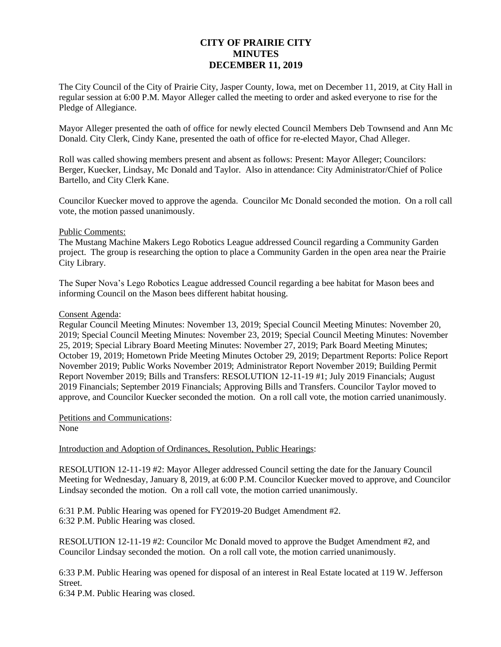# **CITY OF PRAIRIE CITY MINUTES DECEMBER 11, 2019**

The City Council of the City of Prairie City, Jasper County, Iowa, met on December 11, 2019, at City Hall in regular session at 6:00 P.M. Mayor Alleger called the meeting to order and asked everyone to rise for the Pledge of Allegiance.

Mayor Alleger presented the oath of office for newly elected Council Members Deb Townsend and Ann Mc Donald. City Clerk, Cindy Kane, presented the oath of office for re-elected Mayor, Chad Alleger.

Roll was called showing members present and absent as follows: Present: Mayor Alleger; Councilors: Berger, Kuecker, Lindsay, Mc Donald and Taylor. Also in attendance: City Administrator/Chief of Police Bartello, and City Clerk Kane.

Councilor Kuecker moved to approve the agenda. Councilor Mc Donald seconded the motion. On a roll call vote, the motion passed unanimously.

## Public Comments:

The Mustang Machine Makers Lego Robotics League addressed Council regarding a Community Garden project. The group is researching the option to place a Community Garden in the open area near the Prairie City Library.

The Super Nova's Lego Robotics League addressed Council regarding a bee habitat for Mason bees and informing Council on the Mason bees different habitat housing.

### Consent Agenda:

Regular Council Meeting Minutes: November 13, 2019; Special Council Meeting Minutes: November 20, 2019; Special Council Meeting Minutes: November 23, 2019; Special Council Meeting Minutes: November 25, 2019; Special Library Board Meeting Minutes: November 27, 2019; Park Board Meeting Minutes; October 19, 2019; Hometown Pride Meeting Minutes October 29, 2019; Department Reports: Police Report November 2019; Public Works November 2019; Administrator Report November 2019; Building Permit Report November 2019; Bills and Transfers: RESOLUTION 12-11-19 #1; July 2019 Financials; August 2019 Financials; September 2019 Financials; Approving Bills and Transfers. Councilor Taylor moved to approve, and Councilor Kuecker seconded the motion. On a roll call vote, the motion carried unanimously.

Petitions and Communications: None

## Introduction and Adoption of Ordinances, Resolution, Public Hearings:

RESOLUTION 12-11-19 #2: Mayor Alleger addressed Council setting the date for the January Council Meeting for Wednesday, January 8, 2019, at 6:00 P.M. Councilor Kuecker moved to approve, and Councilor Lindsay seconded the motion. On a roll call vote, the motion carried unanimously.

6:31 P.M. Public Hearing was opened for FY2019-20 Budget Amendment #2. 6:32 P.M. Public Hearing was closed.

RESOLUTION 12-11-19 #2: Councilor Mc Donald moved to approve the Budget Amendment #2, and Councilor Lindsay seconded the motion. On a roll call vote, the motion carried unanimously.

6:33 P.M. Public Hearing was opened for disposal of an interest in Real Estate located at 119 W. Jefferson Street.

6:34 P.M. Public Hearing was closed.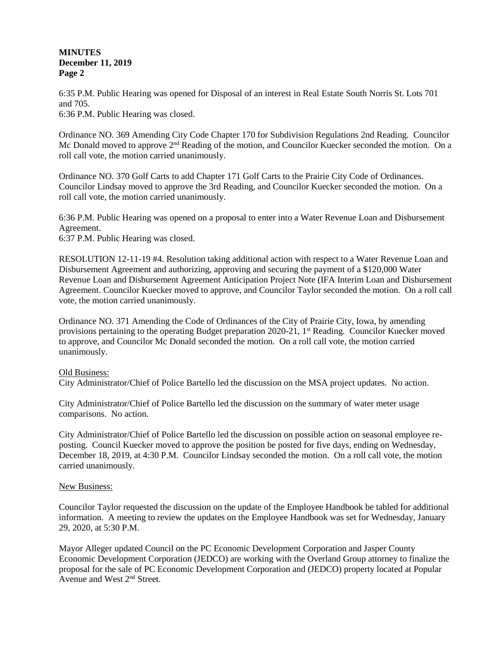## **MINUTES December 11, 2019 Page 2**

6:35 P.M. Public Hearing was opened for Disposal of an interest in Real Estate South Norris St. Lots 701 and 705. 6:36 P.M. Public Hearing was closed.

Ordinance NO. 369 Amending City Code Chapter 170 for Subdivision Regulations 2nd Reading. Councilor Mc Donald moved to approve 2<sup>nd</sup> Reading of the motion, and Councilor Kuecker seconded the motion. On a roll call vote, the motion carried unanimously.

Ordinance NO. 370 Golf Carts to add Chapter 171 Golf Carts to the Prairie City Code of Ordinances. Councilor Lindsay moved to approve the 3rd Reading, and Councilor Kuecker seconded the motion. On a roll call vote, the motion carried unanimously.

6:36 P.M. Public Hearing was opened on a proposal to enter into a Water Revenue Loan and Disbursement Agreement. 6:37 P.M. Public Hearing was closed.

RESOLUTION 12-11-19 #4. Resolution taking additional action with respect to a Water Revenue Loan and Disbursement Agreement and authorizing, approving and securing the payment of a \$120,000 Water Revenue Loan and Disbursement Agreement Anticipation Project Note (IFA Interim Loan and Disbursement Agreement. Councilor Kuecker moved to approve, and Councilor Taylor seconded the motion. On a roll call vote, the motion carried unanimously.

Ordinance NO. 371 Amending the Code of Ordinances of the City of Prairie City, Iowa, by amending provisions pertaining to the operating Budget preparation 2020-21, 1<sup>st</sup> Reading. Councilor Kuecker moved to approve, and Councilor Mc Donald seconded the motion. On a roll call vote, the motion carried unanimously.

## Old Business:

City Administrator/Chief of Police Bartello led the discussion on the MSA project updates. No action.

City Administrator/Chief of Police Bartello led the discussion on the summary of water meter usage comparisons. No action.

City Administrator/Chief of Police Bartello led the discussion on possible action on seasonal employee reposting. Council Kuecker moved to approve the position be posted for five days, ending on Wednesday, December 18, 2019, at 4:30 P.M. Councilor Lindsay seconded the motion. On a roll call vote, the motion carried unanimously.

## New Business:

Councilor Taylor requested the discussion on the update of the Employee Handbook be tabled for additional information. A meeting to review the updates on the Employee Handbook was set for Wednesday, January 29, 2020, at 5:30 P.M.

Mayor Alleger updated Council on the PC Economic Development Corporation and Jasper County Economic Development Corporation (JEDCO) are working with the Overland Group attorney to finalize the proposal for the sale of PC Economic Development Corporation and (JEDCO) property located at Popular Avenue and West 2nd Street.